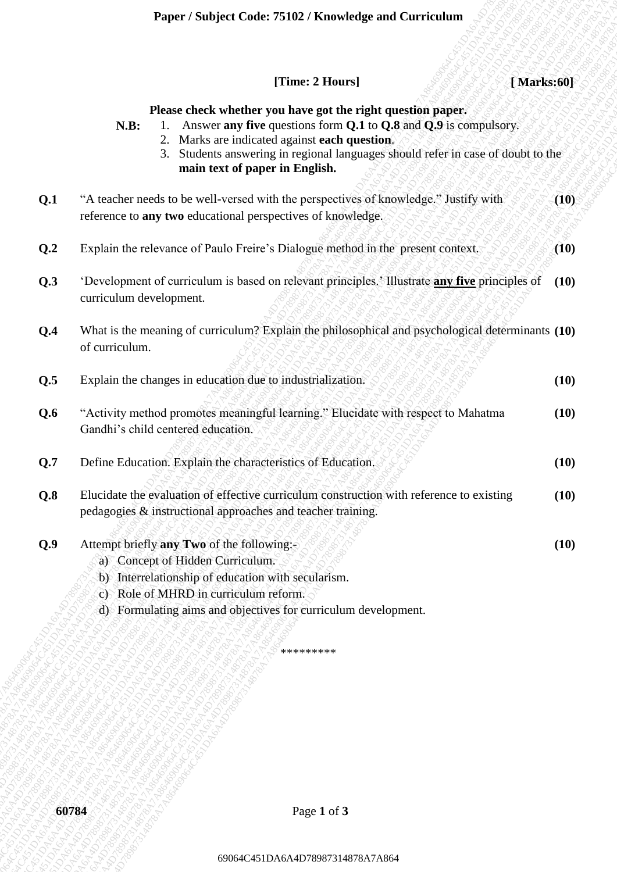|     | [Time: 2 Hours]<br>[Marks:60]                                                                                                                                                                                                                                                                                     |      |
|-----|-------------------------------------------------------------------------------------------------------------------------------------------------------------------------------------------------------------------------------------------------------------------------------------------------------------------|------|
|     | Please check whether you have got the right question paper.<br>Answer any five questions form Q.1 to Q.8 and Q.9 is compulsory.<br>N.B:<br>2. Marks are indicated against each question.<br>Students answering in regional languages should refer in case of doubt to the<br>3.<br>main text of paper in English. |      |
| Q.1 | "A teacher needs to be well-versed with the perspectives of knowledge." Justify with<br>reference to any two educational perspectives of knowledge.                                                                                                                                                               | (10) |
| Q.2 | Explain the relevance of Paulo Freire's Dialogue method in the present context.                                                                                                                                                                                                                                   | (10) |
| Q.3 | 'Development of curriculum is based on relevant principles.' Illustrate any five principles of<br>curriculum development.                                                                                                                                                                                         | (10) |
| Q.4 | What is the meaning of curriculum? Explain the philosophical and psychological determinants (10)<br>of curriculum.                                                                                                                                                                                                |      |
| Q.5 | Explain the changes in education due to industrialization.                                                                                                                                                                                                                                                        | (10) |
| Q.6 | "Activity method promotes meaningful learning." Elucidate with respect to Mahatma<br>Gandhi's child centered education.                                                                                                                                                                                           | (10) |
| Q.7 | Define Education. Explain the characteristics of Education.                                                                                                                                                                                                                                                       | (10) |
| Q.8 | Elucidate the evaluation of effective curriculum construction with reference to existing<br>pedagogies & instructional approaches and teacher training.                                                                                                                                                           | (10) |
| Q.9 | Attempt briefly any Two of the following:-<br>a) Concept of Hidden Curriculum.<br>Interrelationship of education with secularism.<br>b)<br>Role of MHRD in curriculum reform.<br>C)<br>d) Formulating aims and objectives for curriculum development.                                                             | (10) |
|     | *********                                                                                                                                                                                                                                                                                                         |      |
|     |                                                                                                                                                                                                                                                                                                                   |      |
|     |                                                                                                                                                                                                                                                                                                                   |      |
|     |                                                                                                                                                                                                                                                                                                                   |      |
|     | 60784<br>Page 1 of 3                                                                                                                                                                                                                                                                                              |      |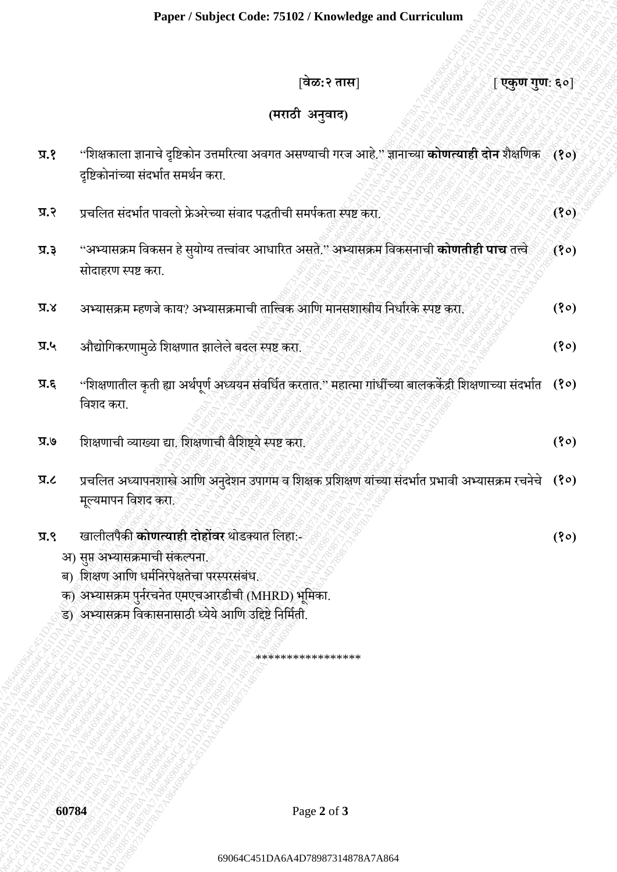## **(मराठी अनुवाद)**

|       | Paper / Subject Code: 75102 / Knowledge and Curriculum                                                                                                                                                                                           |      |
|-------|--------------------------------------------------------------------------------------------------------------------------------------------------------------------------------------------------------------------------------------------------|------|
|       | वेळ:२ तास]<br>[एकुण गुण: ६०]                                                                                                                                                                                                                     |      |
|       | (मराठी अनुवाद)                                                                                                                                                                                                                                   |      |
| 9.5   | ''शिक्षकाला ज्ञानाचे दृष्टिकोन उत्तमरित्या अवगत असण्याची गरज आहे.'' ज्ञानाच्या <b>कोणत्याही दोन</b> शैक्षणिक ( <b>१०)</b><br>दृष्टिकोनांच्या संदर्भात समर्थन करा.                                                                                |      |
| 5.7   | प्रचलित संदर्भात पावलो फ्रेअरेच्या संवाद पद्धतीची समर्पकता स्पष्ट करा.                                                                                                                                                                           | (80) |
| प्र.३ | ''अभ्यासक्रम विकसन हे सुयोग्य तत्त्वांवर आधारित असते.'' अभ्यासक्रम विकसनाची <b>कोणतीही पाच</b> तत्त्वे<br>सोदाहरण स्पष्ट करा.                                                                                                                    | (8)  |
| X.X   | अभ्यासक्रम म्हणजे काय? अभ्यासक्रमाची तात्त्विक आणि मानसशास्त्रीय निर्धारके स्पष्ट करा.                                                                                                                                                           | (30) |
| प्र.५ | औद्योगिकरणामुळे शिक्षणात झालेले बदल स्पष्ट करा.                                                                                                                                                                                                  | (30) |
| त्र.६ | "शिक्षणातील कृती ह्या अर्थपूर्ण अध्ययन संवर्धित करतात." महात्मा गांधींच्या बालककेंद्री शिक्षणाच्या संदर्भात (१०)<br>विशद करा.                                                                                                                    |      |
| ७.७   | शिक्षणाची व्याख्या द्या. शिक्षणाची वैशिष्ट्ये स्पष्ट करा.                                                                                                                                                                                        | (80) |
| J.R   | प्रचलित अध्यापनशास्त्रे आणि अनुदेशन उपागम व शिक्षक प्रशिक्षण यांच्या संदर्भात प्रभावी अभ्यासक्रम रचनेचे (१०)<br>मूल्यमापन विशद करा.                                                                                                              |      |
| 9.7   | खालीलपैकी कोणत्याही दोहोंवर थोडक्यात लिहा:-<br>अ) सुप्त अभ्यासक्रमाची संकल्पना.<br>ब) शिक्षण आणि धर्मनिरपेक्षतेचा परस्परसंबंध.<br>क) अभ्यासक्रम पुर्नरचनेत एमएचआरडीची (MHRD) भूमिका.<br>ड) अभ्यासक्रम विकासनासाठी ध्येये आणि उद्दिष्टे निर्मिती. | (80) |
|       | *****************                                                                                                                                                                                                                                |      |
|       |                                                                                                                                                                                                                                                  |      |
|       |                                                                                                                                                                                                                                                  |      |
|       | 60784<br>Page 2 of 3                                                                                                                                                                                                                             |      |
|       | 69064C451DA6A4D78987314878A7A864                                                                                                                                                                                                                 |      |